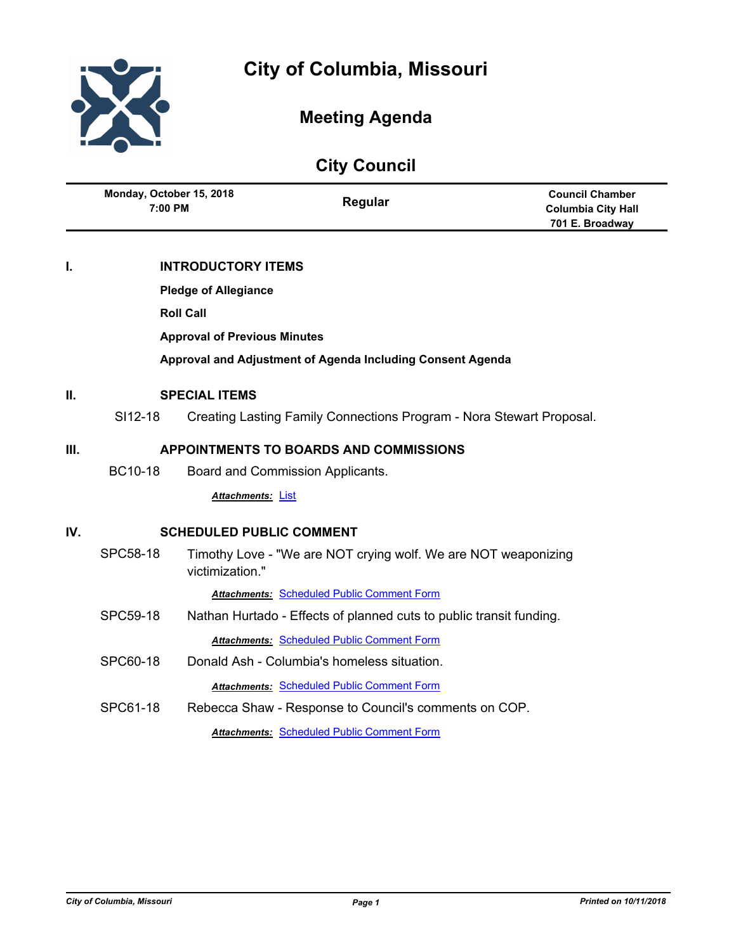



# **Meeting Agenda**

| <b>UITA COUTICII</b>                                    |                                                            |                                 |                                                                      |                                                                        |
|---------------------------------------------------------|------------------------------------------------------------|---------------------------------|----------------------------------------------------------------------|------------------------------------------------------------------------|
|                                                         | Monday, October 15, 2018<br>7:00 PM                        |                                 | Regular                                                              | <b>Council Chamber</b><br><b>Columbia City Hall</b><br>701 E. Broadway |
| I.                                                      |                                                            | <b>INTRODUCTORY ITEMS</b>       |                                                                      |                                                                        |
|                                                         |                                                            | <b>Pledge of Allegiance</b>     |                                                                      |                                                                        |
| <b>Roll Call</b><br><b>Approval of Previous Minutes</b> |                                                            |                                 |                                                                      |                                                                        |
|                                                         |                                                            |                                 |                                                                      |                                                                        |
|                                                         | Approval and Adjustment of Agenda Including Consent Agenda |                                 |                                                                      |                                                                        |
| П.<br><b>SPECIAL ITEMS</b>                              |                                                            |                                 |                                                                      |                                                                        |
|                                                         | SI12-18                                                    |                                 | Creating Lasting Family Connections Program - Nora Stewart Proposal. |                                                                        |
| III.                                                    | <b>APPOINTMENTS TO BOARDS AND COMMISSIONS</b>              |                                 |                                                                      |                                                                        |
|                                                         | <b>BC10-18</b>                                             |                                 | Board and Commission Applicants.                                     |                                                                        |
|                                                         |                                                            | Attachments: List               |                                                                      |                                                                        |
| IV.                                                     |                                                            | <b>SCHEDULED PUBLIC COMMENT</b> |                                                                      |                                                                        |
|                                                         | SPC58-18                                                   | victimization."                 | Timothy Love - "We are NOT crying wolf. We are NOT weaponizing       |                                                                        |
|                                                         |                                                            |                                 | <b>Attachments: Scheduled Public Comment Form</b>                    |                                                                        |
|                                                         | SPC59-18                                                   |                                 | Nathan Hurtado - Effects of planned cuts to public transit funding.  |                                                                        |
|                                                         |                                                            |                                 | <b>Attachments: Scheduled Public Comment Form</b>                    |                                                                        |
|                                                         | SPC60-18                                                   |                                 | Donald Ash - Columbia's homeless situation.                          |                                                                        |
|                                                         |                                                            |                                 | <b>Attachments: Scheduled Public Comment Form</b>                    |                                                                        |
|                                                         | SPC61-18                                                   |                                 | Rebecca Shaw - Response to Council's comments on COP.                |                                                                        |
|                                                         |                                                            |                                 | <b>Attachments: Scheduled Public Comment Form</b>                    |                                                                        |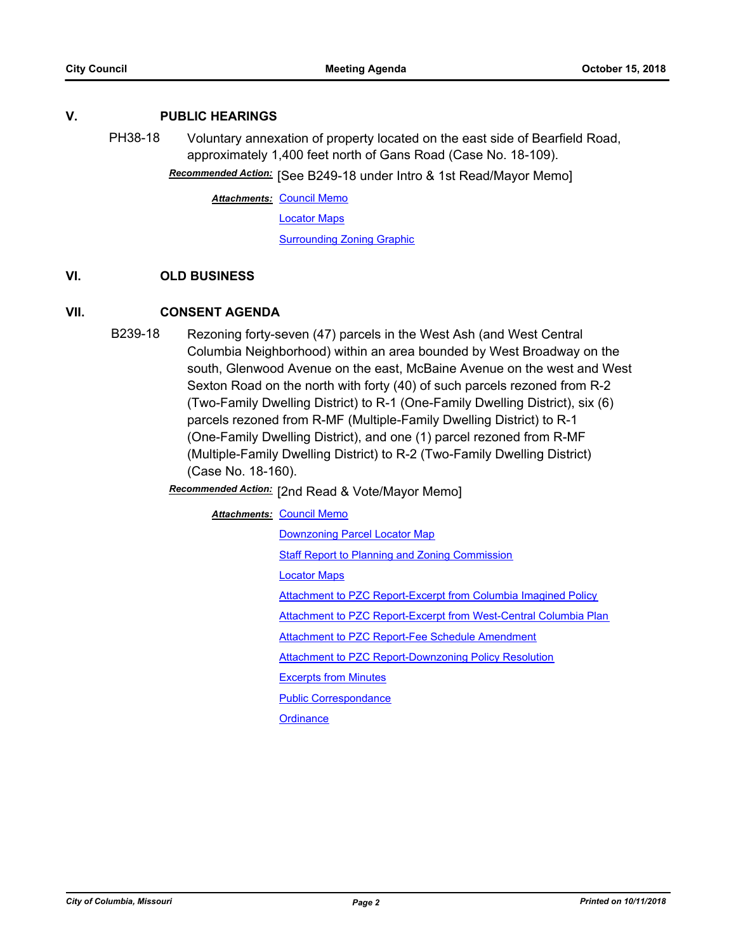## **V. PUBLIC HEARINGS**

PH38-18 Voluntary annexation of property located on the east side of Bearfield Road, approximately 1,400 feet north of Gans Road (Case No. 18-109).

Recommended Action: [See B249-18 under Intro & 1st Read/Mayor Memo]

**Attachments: [Council Memo](http://gocolumbiamo.legistar.com/gateway.aspx?M=F&ID=cbdc0cde-13c5-4cbe-8d7a-2778804cc4c2.docx)** 

[Locator Maps](http://gocolumbiamo.legistar.com/gateway.aspx?M=F&ID=0fd8589b-ad98-4ab9-ad7b-737d97eca122.pdf)

[Surrounding Zoning Graphic](http://gocolumbiamo.legistar.com/gateway.aspx?M=F&ID=88435bd3-c8b9-4008-8c10-286d1bbf0e86.pdf)

## **VI. OLD BUSINESS**

# **VII. CONSENT AGENDA**

B239-18 Rezoning forty-seven (47) parcels in the West Ash (and West Central Columbia Neighborhood) within an area bounded by West Broadway on the south, Glenwood Avenue on the east, McBaine Avenue on the west and West Sexton Road on the north with forty (40) of such parcels rezoned from R-2 (Two-Family Dwelling District) to R-1 (One-Family Dwelling District), six (6) parcels rezoned from R-MF (Multiple-Family Dwelling District) to R-1 (One-Family Dwelling District), and one (1) parcel rezoned from R-MF (Multiple-Family Dwelling District) to R-2 (Two-Family Dwelling District) (Case No. 18-160).

# Recommended Action: [2nd Read & Vote/Mayor Memo]

#### **Attachments: [Council Memo](http://gocolumbiamo.legistar.com/gateway.aspx?M=F&ID=4c454e13-6c50-4ca0-8da4-02e81983b8df.docx)**

[Downzoning Parcel Locator Map](http://gocolumbiamo.legistar.com/gateway.aspx?M=F&ID=9e4dde2d-bc30-441c-b8a4-477b3bae5541.png) [Staff Report to Planning and Zoning Commission](http://gocolumbiamo.legistar.com/gateway.aspx?M=F&ID=d949a5b6-92fd-416e-9313-2606862e388e.docx) [Locator Maps](http://gocolumbiamo.legistar.com/gateway.aspx?M=F&ID=a350ae9d-828d-4a14-805c-fc1b41c818e8.pdf) [Attachment to PZC Report-Excerpt from Columbia Imagined Policy](http://gocolumbiamo.legistar.com/gateway.aspx?M=F&ID=7be256aa-3bb7-49d9-aff1-daed05fce5b2.pdf) [Attachment to PZC Report-Excerpt from West-Central Columbia Plan](http://gocolumbiamo.legistar.com/gateway.aspx?M=F&ID=402bd777-d454-49be-956c-75dab67315db.pdf) [Attachment to PZC Report-Fee Schedule Amendment](http://gocolumbiamo.legistar.com/gateway.aspx?M=F&ID=f17f8b83-63ec-4956-97a9-e4748e80cdcc.pdf) [Attachment to PZC Report-Downzoning Policy Resolution](http://gocolumbiamo.legistar.com/gateway.aspx?M=F&ID=9a296f59-ca2a-462e-ae8c-5351124fc771.pdf) [Excerpts from Minutes](http://gocolumbiamo.legistar.com/gateway.aspx?M=F&ID=5c8f14ba-4e71-489a-8933-aa644dc1731e.docx) [Public Correspondance](http://gocolumbiamo.legistar.com/gateway.aspx?M=F&ID=c1ea9949-003f-4e05-8cc5-95462b975093.pdf)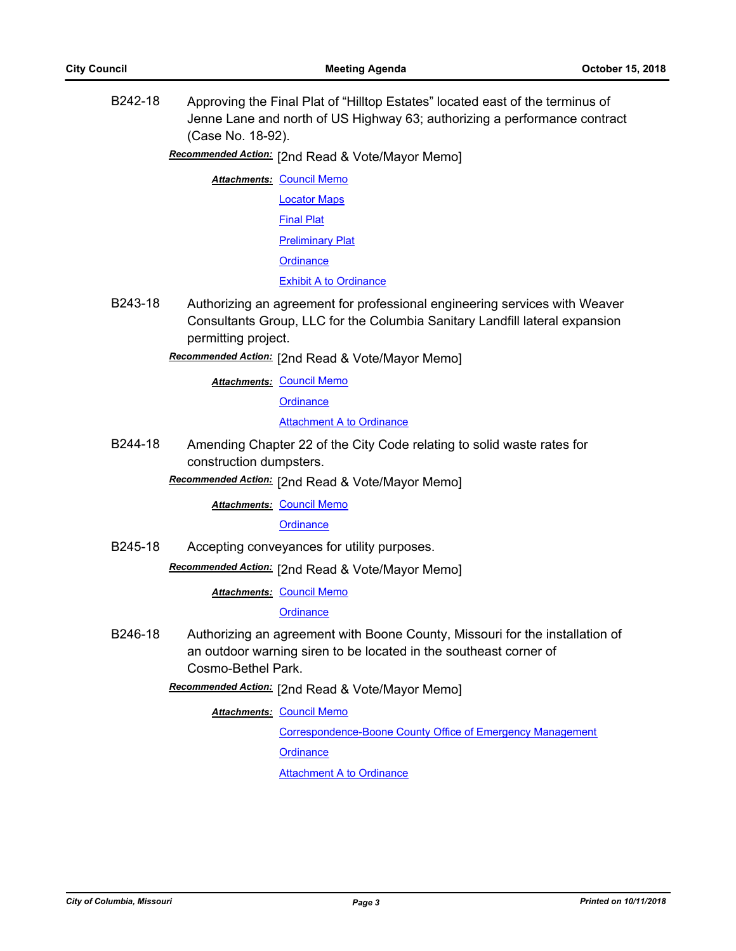B242-18 Approving the Final Plat of "Hilltop Estates" located east of the terminus of Jenne Lane and north of US Highway 63; authorizing a performance contract (Case No. 18-92).

Recommended Action: [2nd Read & Vote/Mayor Memo]

- **Attachments: [Council Memo](http://gocolumbiamo.legistar.com/gateway.aspx?M=F&ID=4f3994c8-6c2b-4c67-b60b-66859ecf9c96.docx)** [Locator Maps](http://gocolumbiamo.legistar.com/gateway.aspx?M=F&ID=c7f550a7-1670-4daf-b5c4-e8ba96e91dd6.pdf) [Final Plat](http://gocolumbiamo.legistar.com/gateway.aspx?M=F&ID=47676aee-3189-421b-9bb1-634898accef6.pdf) [Preliminary Plat](http://gocolumbiamo.legistar.com/gateway.aspx?M=F&ID=45f5fe84-fa93-43fa-a0c5-1687edc8ca2a.pdf) **[Ordinance](http://gocolumbiamo.legistar.com/gateway.aspx?M=F&ID=fdacd924-c428-4d63-9d31-78ee2a5a89cc.doc)** [Exhibit A to Ordinance](http://gocolumbiamo.legistar.com/gateway.aspx?M=F&ID=6f13f789-6d6a-4688-84b8-144e4c48779e.pdf)
- B243-18 Authorizing an agreement for professional engineering services with Weaver Consultants Group, LLC for the Columbia Sanitary Landfill lateral expansion permitting project.

# **Recommended Action:** [2nd Read & Vote/Mayor Memo]

**Attachments: [Council Memo](http://gocolumbiamo.legistar.com/gateway.aspx?M=F&ID=2bcfc521-6ef8-47d0-a954-ff651bb27858.docx)** 

**[Ordinance](http://gocolumbiamo.legistar.com/gateway.aspx?M=F&ID=e7634c64-9c88-46a0-96fb-3dd9a9d1ba2d.doc)** 

[Attachment A to Ordinance](http://gocolumbiamo.legistar.com/gateway.aspx?M=F&ID=c7eca884-39b3-472f-9767-d0b11f8aac4d.pdf)

B244-18 Amending Chapter 22 of the City Code relating to solid waste rates for construction dumpsters.

Recommended Action: [2nd Read & Vote/Mayor Memo]

**Attachments: [Council Memo](http://gocolumbiamo.legistar.com/gateway.aspx?M=F&ID=f37d7e6c-c890-47d6-8f94-3306a6147366.docx)** 

**[Ordinance](http://gocolumbiamo.legistar.com/gateway.aspx?M=F&ID=9223bee4-1943-4e7f-b71a-b660746e34c1.doc)** 

B245-18 Accepting conveyances for utility purposes.

**Recommended Action:** [2nd Read & Vote/Mayor Memo]

**Attachments: [Council Memo](http://gocolumbiamo.legistar.com/gateway.aspx?M=F&ID=83db357f-54d1-4751-9e99-f98ed0d5decd.docx)** 

#### **[Ordinance](http://gocolumbiamo.legistar.com/gateway.aspx?M=F&ID=90a9d291-6bc9-44e4-93eb-15ca291e76de.doc)**

B246-18 Authorizing an agreement with Boone County, Missouri for the installation of an outdoor warning siren to be located in the southeast corner of Cosmo-Bethel Park.

Recommended Action: [2nd Read & Vote/Mayor Memo]

# **Attachments: [Council Memo](http://gocolumbiamo.legistar.com/gateway.aspx?M=F&ID=8e333786-86ca-424c-ade3-91d8981c8cd6.docx)**

[Correspondence-Boone County Office of Emergency Management](http://gocolumbiamo.legistar.com/gateway.aspx?M=F&ID=887babfb-8293-4a5a-a474-03f1962367b3.docx) **[Ordinance](http://gocolumbiamo.legistar.com/gateway.aspx?M=F&ID=90f8410a-f8d8-44c1-9eba-1d5e211b80ab.doc)** 

[Attachment A to Ordinance](http://gocolumbiamo.legistar.com/gateway.aspx?M=F&ID=c8fc429b-eeae-4a88-836c-7bd85dc3bd25.pdf)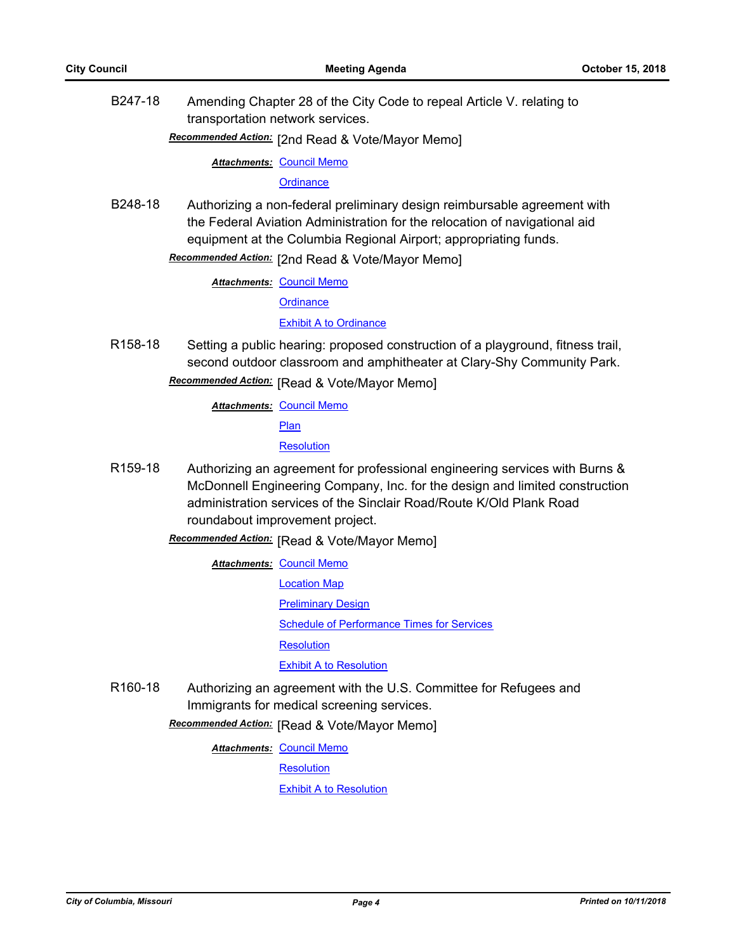B247-18 Amending Chapter 28 of the City Code to repeal Article V. relating to transportation network services.

[2nd Read & Vote/Mayor Memo] *Recommended Action:*

**Attachments: [Council Memo](http://gocolumbiamo.legistar.com/gateway.aspx?M=F&ID=ebb0a6a1-af22-4e23-b72f-4a63ae314e60.docx)** 

**[Ordinance](http://gocolumbiamo.legistar.com/gateway.aspx?M=F&ID=652c0b4f-7410-4e4a-ae54-485fe5202532.doc)** 

B248-18 Authorizing a non-federal preliminary design reimbursable agreement with the Federal Aviation Administration for the relocation of navigational aid equipment at the Columbia Regional Airport; appropriating funds.

Recommended Action: [2nd Read & Vote/Mayor Memo]

**Attachments: [Council Memo](http://gocolumbiamo.legistar.com/gateway.aspx?M=F&ID=303438ba-c0ff-4de6-bb06-8fd306be8b2c.docx)** 

**[Ordinance](http://gocolumbiamo.legistar.com/gateway.aspx?M=F&ID=2fcc116d-cebe-4687-8ea3-b15e7b3f5e88.doc)** 

[Exhibit A to Ordinance](http://gocolumbiamo.legistar.com/gateway.aspx?M=F&ID=5e10135c-9df3-4a19-90f9-586450540366.pdf)

R158-18 Setting a public hearing: proposed construction of a playground, fitness trail, second outdoor classroom and amphitheater at Clary-Shy Community Park. **Recommended Action:** [Read & Vote/Mayor Memo]

**Attachments: [Council Memo](http://gocolumbiamo.legistar.com/gateway.aspx?M=F&ID=e432639e-1405-4bf6-aaf9-f8b72637a99e.docx)** 

**[Plan](http://gocolumbiamo.legistar.com/gateway.aspx?M=F&ID=5053032d-ded2-4409-a85f-9b6f560dce1e.pdf)** 

**[Resolution](http://gocolumbiamo.legistar.com/gateway.aspx?M=F&ID=e1a456d8-a898-4362-9d75-bb10bcbdb511.doc)** 

- R159-18 Authorizing an agreement for professional engineering services with Burns & McDonnell Engineering Company, Inc. for the design and limited construction administration services of the Sinclair Road/Route K/Old Plank Road roundabout improvement project.
	- **Recommended Action:** [Read & Vote/Mayor Memo]

**Attachments: [Council Memo](http://gocolumbiamo.legistar.com/gateway.aspx?M=F&ID=226a938b-4673-456e-b3ed-7660a65d2202.docx)** 

[Location Map](http://gocolumbiamo.legistar.com/gateway.aspx?M=F&ID=3373fe24-58ad-4f4d-aec9-6420473a3008.pdf)

[Preliminary Design](http://gocolumbiamo.legistar.com/gateway.aspx?M=F&ID=7f88d479-85c9-408b-a13f-ce760994f947.pdf)

[Schedule of Performance Times for Services](http://gocolumbiamo.legistar.com/gateway.aspx?M=F&ID=875126f9-1122-416b-a3c6-a95d44974aa4.pdf)

**[Resolution](http://gocolumbiamo.legistar.com/gateway.aspx?M=F&ID=3ac66aef-994b-414b-830d-ee9ebd05b0a2.doc)** 

[Exhibit A to Resolution](http://gocolumbiamo.legistar.com/gateway.aspx?M=F&ID=e46a7511-db20-4df2-995b-4630926c2ae2.pdf)

R160-18 Authorizing an agreement with the U.S. Committee for Refugees and Immigrants for medical screening services.

**Recommended Action:** [Read & Vote/Mayor Memo]

**Attachments: [Council Memo](http://gocolumbiamo.legistar.com/gateway.aspx?M=F&ID=dbe3a80b-7cf5-45eb-b3ea-e0abc360e9e7.docx)** 

**[Resolution](http://gocolumbiamo.legistar.com/gateway.aspx?M=F&ID=99613b60-2b16-4bab-8250-f05bbb88d7ea.doc)** 

[Exhibit A to Resolution](http://gocolumbiamo.legistar.com/gateway.aspx?M=F&ID=aebbd025-099f-47b0-9456-2f2d6f150398.pdf)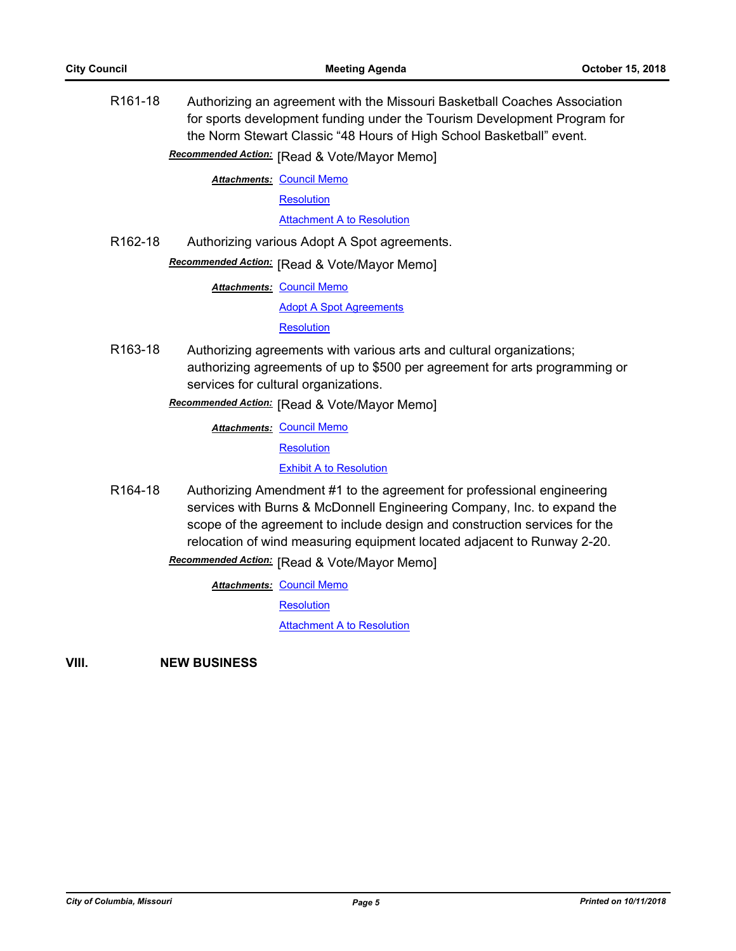R161-18 Authorizing an agreement with the Missouri Basketball Coaches Association for sports development funding under the Tourism Development Program for the Norm Stewart Classic "48 Hours of High School Basketball" event.

**Recommended Action:** [Read & Vote/Mayor Memo]

**Attachments: [Council Memo](http://gocolumbiamo.legistar.com/gateway.aspx?M=F&ID=8ba6ea70-53ab-495d-a381-16b8f328ca43.docx)** 

**[Resolution](http://gocolumbiamo.legistar.com/gateway.aspx?M=F&ID=d77334e2-9317-490b-b023-24cd799f9725.doc)** 

**[Attachment A to Resolution](http://gocolumbiamo.legistar.com/gateway.aspx?M=F&ID=70f7da4a-5487-4645-bae6-32a64dc5735d.pdf)** 

R162-18 Authorizing various Adopt A Spot agreements.

**Recommended Action:** [Read & Vote/Mayor Memo]

**Attachments: [Council Memo](http://gocolumbiamo.legistar.com/gateway.aspx?M=F&ID=1decc241-8b57-4222-91d1-b9aed470dadd.docx)** 

[Adopt A Spot Agreements](http://gocolumbiamo.legistar.com/gateway.aspx?M=F&ID=d10d5edb-b89c-46f3-a0df-9afe09e8c7ee.pdf)

**[Resolution](http://gocolumbiamo.legistar.com/gateway.aspx?M=F&ID=3912a199-d257-4c89-aa5c-6faf7d5b4c9b.doc)** 

R163-18 Authorizing agreements with various arts and cultural organizations; authorizing agreements of up to \$500 per agreement for arts programming or services for cultural organizations.

# **Recommended Action:** [Read & Vote/Mayor Memo]

**Attachments: [Council Memo](http://gocolumbiamo.legistar.com/gateway.aspx?M=F&ID=5795583b-69f0-40b7-9f0a-9ecae5056cf0.docx)** 

[Resolution](http://gocolumbiamo.legistar.com/gateway.aspx?M=F&ID=ea7e9f99-ef0d-4197-967c-9a247901724a.doc)

[Exhibit A to Resolution](http://gocolumbiamo.legistar.com/gateway.aspx?M=F&ID=77406166-2ea4-4d80-9d04-6365e077abc7.pdf)

R164-18 Authorizing Amendment #1 to the agreement for professional engineering services with Burns & McDonnell Engineering Company, Inc. to expand the scope of the agreement to include design and construction services for the relocation of wind measuring equipment located adjacent to Runway 2-20.

**Recommended Action:** [Read & Vote/Mayor Memo]

**Attachments: [Council Memo](http://gocolumbiamo.legistar.com/gateway.aspx?M=F&ID=e0ee4c34-a0a6-42b8-af2d-24aea6cebab4.docx) [Resolution](http://gocolumbiamo.legistar.com/gateway.aspx?M=F&ID=7acd2495-d404-4817-a2d5-612ffd076e4a.doc)** 

[Attachment A to Resolution](http://gocolumbiamo.legistar.com/gateway.aspx?M=F&ID=6cc9c785-aa7f-4de4-a8ff-d654aded07d3.pdf)

**VIII. NEW BUSINESS**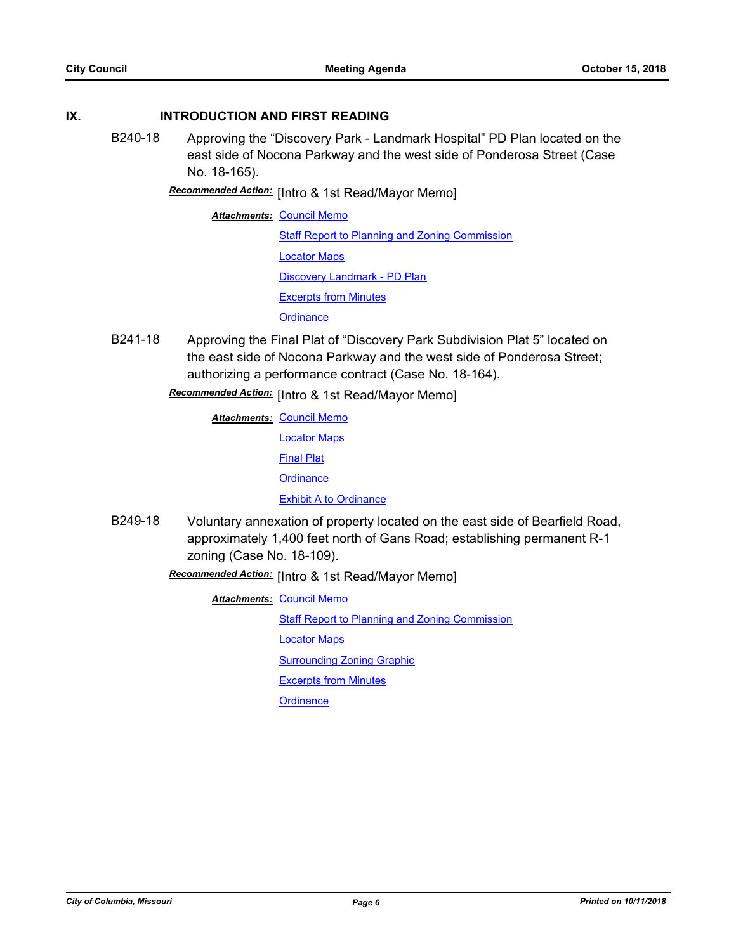# **IX. INTRODUCTION AND FIRST READING**

- B240-18 Approving the "Discovery Park Landmark Hospital" PD Plan located on the east side of Nocona Parkway and the west side of Ponderosa Street (Case No. 18-165).
	- **Recommended Action:** [Intro & 1st Read/Mayor Memo]

**Attachments: [Council Memo](http://gocolumbiamo.legistar.com/gateway.aspx?M=F&ID=252be273-e3c1-4e1b-8e24-b548ba15b8a5.docx) [Staff Report to Planning and Zoning Commission](http://gocolumbiamo.legistar.com/gateway.aspx?M=F&ID=3d3bb121-5a4f-43f8-9812-ba419c409ca5.docx)** [Locator Maps](http://gocolumbiamo.legistar.com/gateway.aspx?M=F&ID=2f412215-2527-4a58-a6ff-3e1d910d77ce.pdf) [Discovery Landmark - PD Plan](http://gocolumbiamo.legistar.com/gateway.aspx?M=F&ID=02028741-1cc2-4589-b59d-190d79dbf964.pdf) [Excerpts from Minutes](http://gocolumbiamo.legistar.com/gateway.aspx?M=F&ID=702b9817-a28b-4bbf-914a-889888d19619.docx) **[Ordinance](http://gocolumbiamo.legistar.com/gateway.aspx?M=F&ID=c9d10bc9-3e8c-4de9-8f76-09e8bf6b5596.doc)** 

B241-18 Approving the Final Plat of "Discovery Park Subdivision Plat 5" located on the east side of Nocona Parkway and the west side of Ponderosa Street; authorizing a performance contract (Case No. 18-164).

Recommended Action: [Intro & 1st Read/Mayor Memo]

- **Attachments: [Council Memo](http://gocolumbiamo.legistar.com/gateway.aspx?M=F&ID=bbb32224-53d1-40d9-ba8d-f1bec73a7ca4.docx)** [Locator Maps](http://gocolumbiamo.legistar.com/gateway.aspx?M=F&ID=32683246-146d-4f0c-8fd8-24bf38493bfa.pdf) [Final Plat](http://gocolumbiamo.legistar.com/gateway.aspx?M=F&ID=25dfa3d1-171a-4eef-a0fc-ce110cb69949.pdf) **[Ordinance](http://gocolumbiamo.legistar.com/gateway.aspx?M=F&ID=9257aafa-9fac-4a49-ace8-b8916f714fc2.doc) [Exhibit A to Ordinance](http://gocolumbiamo.legistar.com/gateway.aspx?M=F&ID=cf799e44-5c94-4d52-90e3-9ea767f924a6.pdf)**
- B249-18 Voluntary annexation of property located on the east side of Bearfield Road, approximately 1,400 feet north of Gans Road; establishing permanent R-1 zoning (Case No. 18-109).
	- Recommended Action: [Intro & 1st Read/Mayor Memo]

**Attachments: [Council Memo](http://gocolumbiamo.legistar.com/gateway.aspx?M=F&ID=7b77ab47-5e1e-4402-a28d-b052cb94c515.docx)** 

**[Staff Report to Planning and Zoning Commission](http://gocolumbiamo.legistar.com/gateway.aspx?M=F&ID=d4bcaf24-470a-40c8-af79-362f6b41c6da.docx)** 

[Locator Maps](http://gocolumbiamo.legistar.com/gateway.aspx?M=F&ID=14b452bb-d2c4-4fc0-96e7-77d412f5eb95.pdf)

[Surrounding Zoning Graphic](http://gocolumbiamo.legistar.com/gateway.aspx?M=F&ID=fdc323c8-ce5f-4788-af2a-33633d402634.pdf)

[Excerpts from Minutes](http://gocolumbiamo.legistar.com/gateway.aspx?M=F&ID=d7670dfc-fc95-4312-b140-df2cb00e1c07.docx)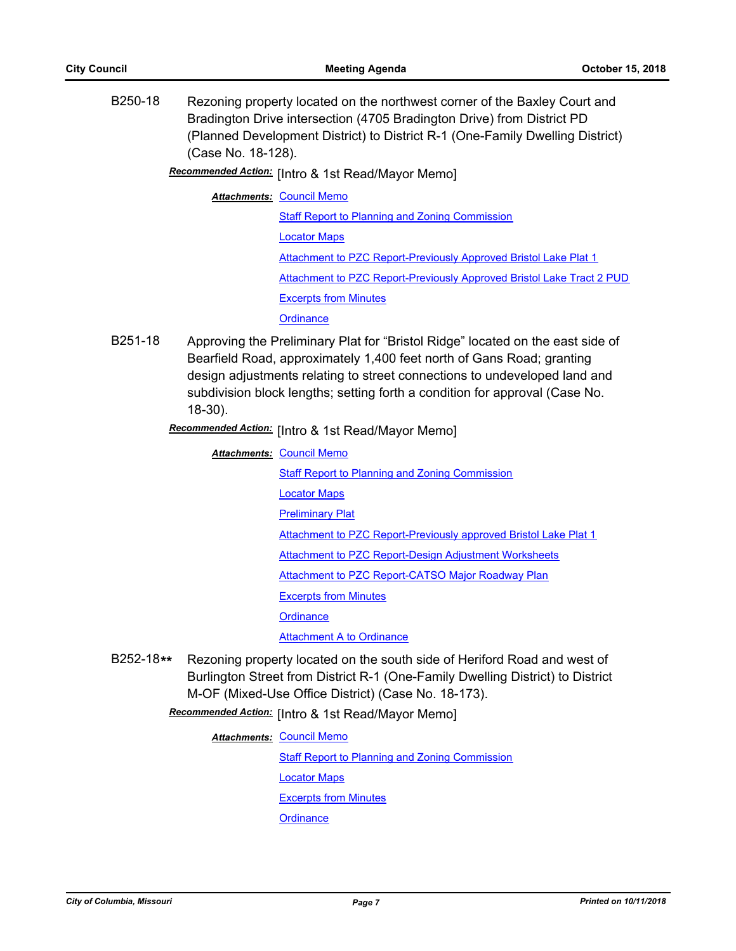B250-18 Rezoning property located on the northwest corner of the Baxley Court and Bradington Drive intersection (4705 Bradington Drive) from District PD (Planned Development District) to District R-1 (One-Family Dwelling District) (Case No. 18-128).

Recommended Action: [Intro & 1st Read/Mayor Memo]

**Attachments: [Council Memo](http://gocolumbiamo.legistar.com/gateway.aspx?M=F&ID=c1f21939-28ae-4019-b824-cc68e44b068b.docx)** 

**[Staff Report to Planning and Zoning Commission](http://gocolumbiamo.legistar.com/gateway.aspx?M=F&ID=0218ed54-0312-43a4-88ce-37effc3bf07d.docx)** [Locator Maps](http://gocolumbiamo.legistar.com/gateway.aspx?M=F&ID=2a41811d-41b8-42f1-bd55-fd873c3d7423.pdf) [Attachment to PZC Report-Previously Approved Bristol Lake Plat 1](http://gocolumbiamo.legistar.com/gateway.aspx?M=F&ID=de5b6a4a-1b47-4cf6-af71-3b1c9f66a4e0.pdf) [Attachment to PZC Report-Previously Approved Bristol Lake Tract 2 PUD](http://gocolumbiamo.legistar.com/gateway.aspx?M=F&ID=761a6885-752f-4203-93cd-929e61ac36d5.pdf) [Excerpts from Minutes](http://gocolumbiamo.legistar.com/gateway.aspx?M=F&ID=f2693a3b-37e6-43d6-a461-2dbd012990de.docx) **[Ordinance](http://gocolumbiamo.legistar.com/gateway.aspx?M=F&ID=ab1edf6b-07b5-4268-a483-19cdc0d00403.doc)** 

B251-18 Approving the Preliminary Plat for "Bristol Ridge" located on the east side of Bearfield Road, approximately 1,400 feet north of Gans Road; granting design adjustments relating to street connections to undeveloped land and subdivision block lengths; setting forth a condition for approval (Case No. 18-30).

Recommended Action: [Intro & 1st Read/Mayor Memo]

- **Attachments: [Council Memo](http://gocolumbiamo.legistar.com/gateway.aspx?M=F&ID=898c37d9-e8be-4ec4-8aae-16dfd1c6e30d.docx)** [Staff Report to Planning and Zoning Commission](http://gocolumbiamo.legistar.com/gateway.aspx?M=F&ID=4c9d7b47-054a-41c4-ae1f-0af891ee0dfb.docx) [Locator Maps](http://gocolumbiamo.legistar.com/gateway.aspx?M=F&ID=79e3706f-a772-4770-a623-92c232e07309.pdf) [Preliminary Plat](http://gocolumbiamo.legistar.com/gateway.aspx?M=F&ID=77a25a39-dcf4-45df-90c2-73c8ba65e1b0.pdf) [Attachment to PZC Report-Previously approved Bristol Lake Plat 1](http://gocolumbiamo.legistar.com/gateway.aspx?M=F&ID=15e87b1f-9e61-494e-9fde-641d5a82bb98.pdf) [Attachment to PZC Report-Design Adjustment Worksheets](http://gocolumbiamo.legistar.com/gateway.aspx?M=F&ID=fd430cf4-bb60-44a4-a46e-87972925b942.pdf) **[Attachment to PZC Report-CATSO Major Roadway Plan](http://gocolumbiamo.legistar.com/gateway.aspx?M=F&ID=e022f52a-6f7a-4f1c-9909-60c0f9d3683d.pdf)** [Excerpts from Minutes](http://gocolumbiamo.legistar.com/gateway.aspx?M=F&ID=7c0149f3-9c06-468e-b430-23dcbdac6a1d.docx) **[Ordinance](http://gocolumbiamo.legistar.com/gateway.aspx?M=F&ID=0a113c13-ec1d-4ff6-8f88-8183ad3778c5.doc) [Attachment A to Ordinance](http://gocolumbiamo.legistar.com/gateway.aspx?M=F&ID=247017e2-69d4-4bba-ba3d-2ac7d665f8e5.pdf)**
- B252-18**\*\*** Rezoning property located on the south side of Heriford Road and west of Burlington Street from District R-1 (One-Family Dwelling District) to District M-OF (Mixed-Use Office District) (Case No. 18-173).

**Recommended Action:** [Intro & 1st Read/Mayor Memo]

**Attachments: [Council Memo](http://gocolumbiamo.legistar.com/gateway.aspx?M=F&ID=7c8cb59f-e920-4c14-83b3-f3a1630f75ce.docx)** 

[Staff Report to Planning and Zoning Commission](http://gocolumbiamo.legistar.com/gateway.aspx?M=F&ID=043cad58-3425-4234-81fe-a9a907fd22c2.docx)

[Locator Maps](http://gocolumbiamo.legistar.com/gateway.aspx?M=F&ID=ff56b6b1-7ee2-45e6-9804-9d8af85ede2a.pdf)

[Excerpts from Minutes](http://gocolumbiamo.legistar.com/gateway.aspx?M=F&ID=efb6ac38-3636-47de-b653-4d5ec09131a6.docx)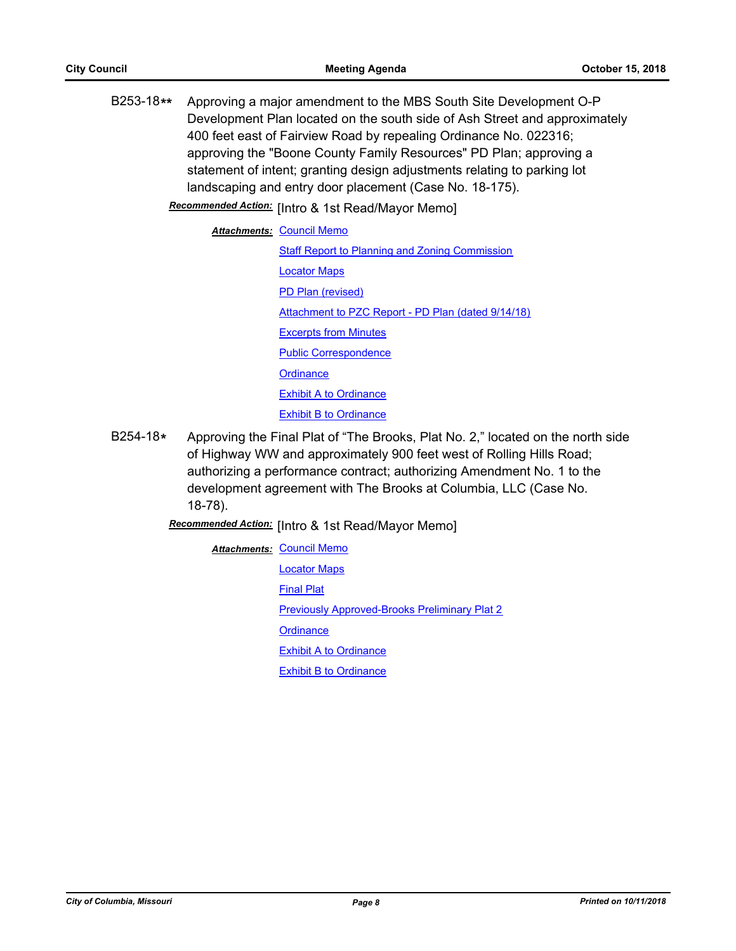B253-18**\*\*** Approving a major amendment to the MBS South Site Development O-P Development Plan located on the south side of Ash Street and approximately 400 feet east of Fairview Road by repealing Ordinance No. 022316; approving the "Boone County Family Resources" PD Plan; approving a statement of intent; granting design adjustments relating to parking lot landscaping and entry door placement (Case No. 18-175).

Recommended Action: [Intro & 1st Read/Mayor Memo]

**Attachments: [Council Memo](http://gocolumbiamo.legistar.com/gateway.aspx?M=F&ID=165cfedf-099a-4b6b-aa09-489f819c995a.docx)** [Staff Report to Planning and Zoning Commission](http://gocolumbiamo.legistar.com/gateway.aspx?M=F&ID=bf14da95-16b8-422f-b25b-f3e6fab3e2e1.docx) [Locator Maps](http://gocolumbiamo.legistar.com/gateway.aspx?M=F&ID=25ed69b4-8121-44ac-9c1f-c0b3f598f1c4.pdf) [PD Plan \(revised\)](http://gocolumbiamo.legistar.com/gateway.aspx?M=F&ID=d1af96dd-fde4-4996-9d8f-a0046e2197c1.pdf) [Attachment to PZC Report - PD Plan \(dated 9/14/18\)](http://gocolumbiamo.legistar.com/gateway.aspx?M=F&ID=4aaa15d0-7a0d-49ca-802c-51014fa9df7b.pdf) [Excerpts from Minutes](http://gocolumbiamo.legistar.com/gateway.aspx?M=F&ID=289fe491-aa91-4bbd-9af5-f7dca59348f3.docx) [Public Correspondence](http://gocolumbiamo.legistar.com/gateway.aspx?M=F&ID=002a44dd-b8ac-4039-a9f6-32ea70d315ff.pdf) **[Ordinance](http://gocolumbiamo.legistar.com/gateway.aspx?M=F&ID=45f79054-0302-4d53-ad25-654a66a46013.doc)** [Exhibit A to Ordinance](http://gocolumbiamo.legistar.com/gateway.aspx?M=F&ID=1ae3947f-40b1-4a1a-be26-6eaeec80d3e6.pdf) **[Exhibit B to Ordinance](http://gocolumbiamo.legistar.com/gateway.aspx?M=F&ID=d07d67bc-9260-453f-a6e8-15dd1aed18bb.pdf)** 

B254-18**\*** Approving the Final Plat of "The Brooks, Plat No. 2," located on the north side of Highway WW and approximately 900 feet west of Rolling Hills Road; authorizing a performance contract; authorizing Amendment No. 1 to the development agreement with The Brooks at Columbia, LLC (Case No. 18-78).

**Recommended Action:** [Intro & 1st Read/Mayor Memo]

**Attachments: [Council Memo](http://gocolumbiamo.legistar.com/gateway.aspx?M=F&ID=13d6bb32-0554-4151-aa2f-52c33d3a05d4.docx)** [Locator Maps](http://gocolumbiamo.legistar.com/gateway.aspx?M=F&ID=adfd18ca-a59e-4d24-90de-f851a1292728.pdf) [Final Plat](http://gocolumbiamo.legistar.com/gateway.aspx?M=F&ID=cec35e76-137d-4e13-9d82-865d192a3dcd.pdf) [Previously Approved-Brooks Preliminary Plat 2](http://gocolumbiamo.legistar.com/gateway.aspx?M=F&ID=63559da9-f53e-4e90-b867-8ed0d9f5a0cb.pdf) **[Ordinance](http://gocolumbiamo.legistar.com/gateway.aspx?M=F&ID=d24fc352-6ee5-48dd-93cb-b25b1fc0c905.doc)** [Exhibit A to Ordinance](http://gocolumbiamo.legistar.com/gateway.aspx?M=F&ID=dbff84d9-772e-4315-bdd2-d84052459e84.pdf) **[Exhibit B to Ordinance](http://gocolumbiamo.legistar.com/gateway.aspx?M=F&ID=8ff1a84a-8e28-4ba8-9916-056514b0992e.pdf)**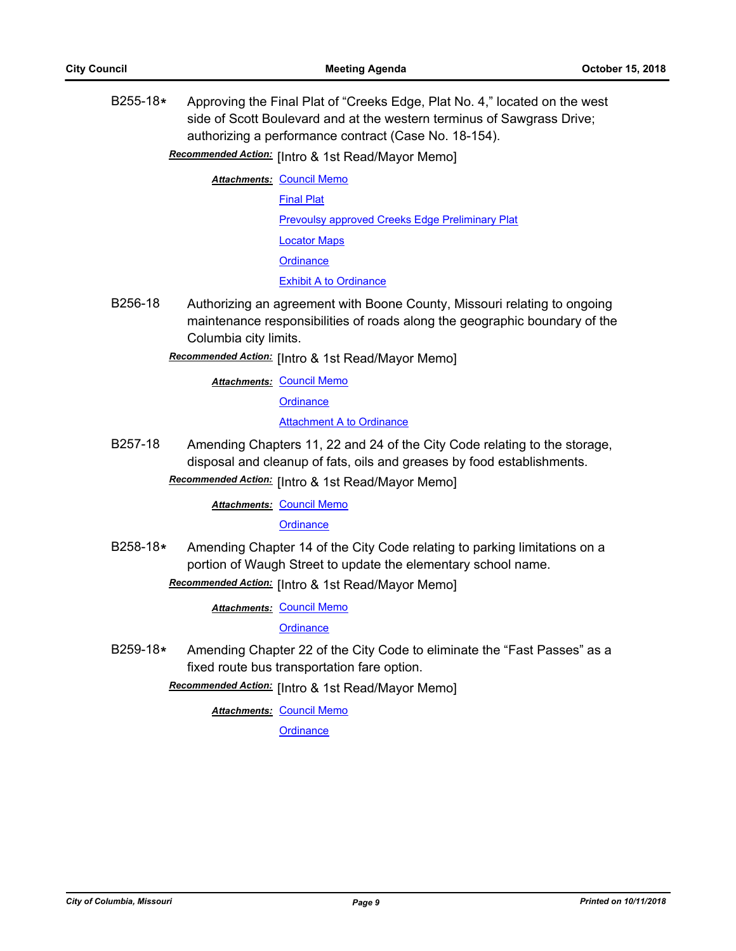B255-18**\*** Approving the Final Plat of "Creeks Edge, Plat No. 4," located on the west side of Scott Boulevard and at the western terminus of Sawgrass Drive; authorizing a performance contract (Case No. 18-154).

**Recommended Action:** [Intro & 1st Read/Mayor Memo]

**Attachments: [Council Memo](http://gocolumbiamo.legistar.com/gateway.aspx?M=F&ID=a761d865-c403-45ee-a4c0-7ece70ea21fb.docx)** 

[Final Plat](http://gocolumbiamo.legistar.com/gateway.aspx?M=F&ID=4de17a7a-81cb-49ed-9b87-2c8da6bf2938.pdf)

[Prevoulsy approved Creeks Edge Preliminary Plat](http://gocolumbiamo.legistar.com/gateway.aspx?M=F&ID=919ac6ad-604d-4c2f-8960-005ed04fa0e5.pdf)

[Locator Maps](http://gocolumbiamo.legistar.com/gateway.aspx?M=F&ID=f4cd29b5-02c9-46f5-9aa7-bdacef34b867.pdf)

**[Ordinance](http://gocolumbiamo.legistar.com/gateway.aspx?M=F&ID=86792ef3-72ba-4d72-91ed-b96c361cd9fc.doc)** 

[Exhibit A to Ordinance](http://gocolumbiamo.legistar.com/gateway.aspx?M=F&ID=59189b77-ff75-4fc6-b073-65a7aa865c3a.pdf)

B256-18 Authorizing an agreement with Boone County, Missouri relating to ongoing maintenance responsibilities of roads along the geographic boundary of the Columbia city limits.

**Recommended Action:** [Intro & 1st Read/Mayor Memo]

**Attachments: [Council Memo](http://gocolumbiamo.legistar.com/gateway.aspx?M=F&ID=b4dc26ec-56f2-4c4d-a7c3-669c80272b8c.docx)** 

**[Ordinance](http://gocolumbiamo.legistar.com/gateway.aspx?M=F&ID=c4f02a17-cff6-4fba-ba44-10fb9aef4fd5.doc)** 

[Attachment A to Ordinance](http://gocolumbiamo.legistar.com/gateway.aspx?M=F&ID=740e7def-a071-4905-8a96-7c0213710035.pdf)

B257-18 Amending Chapters 11, 22 and 24 of the City Code relating to the storage, disposal and cleanup of fats, oils and greases by food establishments.

**Recommended Action:** [Intro & 1st Read/Mayor Memo]

**Attachments: [Council Memo](http://gocolumbiamo.legistar.com/gateway.aspx?M=F&ID=12cd3e19-1803-4117-9172-b524910a5c13.docx)** 

#### **[Ordinance](http://gocolumbiamo.legistar.com/gateway.aspx?M=F&ID=7bfc24d0-90c7-4fe1-ade7-f371ec1333a9.doc)**

B258-18**\*** Amending Chapter 14 of the City Code relating to parking limitations on a portion of Waugh Street to update the elementary school name.

# Recommended Action: [Intro & 1st Read/Mayor Memo]

**Attachments: [Council Memo](http://gocolumbiamo.legistar.com/gateway.aspx?M=F&ID=558fbf32-cc48-4f8c-a737-a56fff948fd5.docx)** 

**[Ordinance](http://gocolumbiamo.legistar.com/gateway.aspx?M=F&ID=a999e9b2-9723-401a-a03c-87b8d27a3440.doc)** 

B259-18**\*** Amending Chapter 22 of the City Code to eliminate the "Fast Passes" as a fixed route bus transportation fare option.

Recommended Action: [Intro & 1st Read/Mayor Memo]

**Attachments: [Council Memo](http://gocolumbiamo.legistar.com/gateway.aspx?M=F&ID=2404f8ba-a1ed-47c4-ae6b-ebe376554acc.docx)**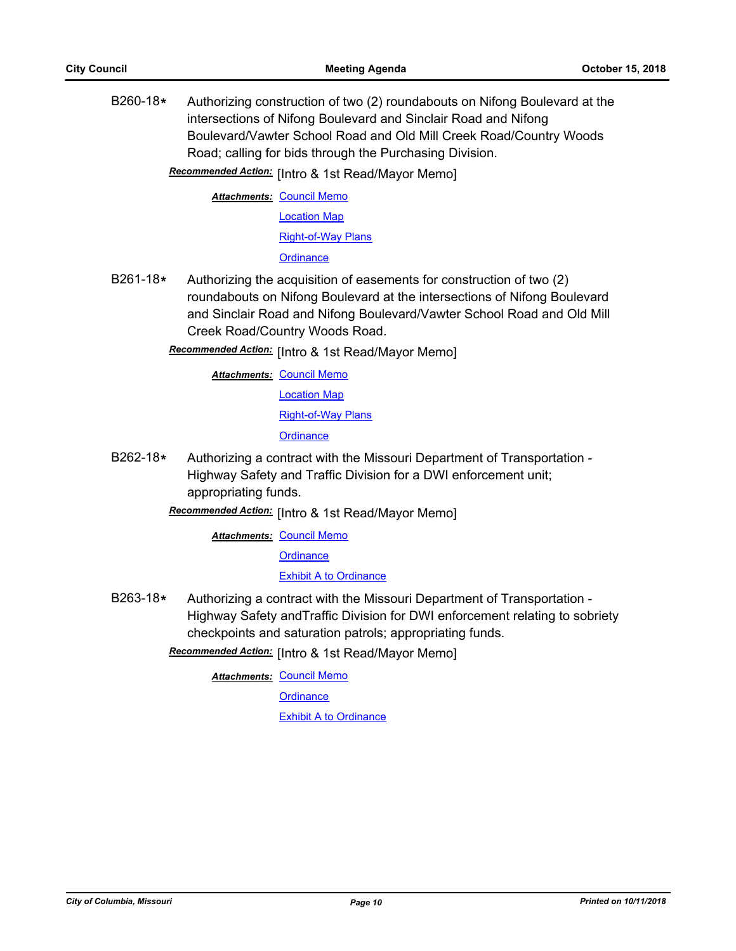B260-18**\*** Authorizing construction of two (2) roundabouts on Nifong Boulevard at the intersections of Nifong Boulevard and Sinclair Road and Nifong Boulevard/Vawter School Road and Old Mill Creek Road/Country Woods Road; calling for bids through the Purchasing Division.

Recommended Action: [Intro & 1st Read/Mayor Memo]

**Attachments: [Council Memo](http://gocolumbiamo.legistar.com/gateway.aspx?M=F&ID=a7bbe45e-626e-4fc1-b864-d65d791d12c4.docx)** [Location Map](http://gocolumbiamo.legistar.com/gateway.aspx?M=F&ID=6caf267f-136c-4f7a-8785-72ffa3296079.pdf) [Right-of-Way Plans](http://gocolumbiamo.legistar.com/gateway.aspx?M=F&ID=6edf758f-17c4-4502-ae95-87aa72b53239.pdf) **[Ordinance](http://gocolumbiamo.legistar.com/gateway.aspx?M=F&ID=d3d05d63-d34d-4399-84b4-75aced94f9c4.doc)** 

B261-18**\*** Authorizing the acquisition of easements for construction of two (2) roundabouts on Nifong Boulevard at the intersections of Nifong Boulevard and Sinclair Road and Nifong Boulevard/Vawter School Road and Old Mill Creek Road/Country Woods Road.

Recommended Action: [Intro & 1st Read/Mayor Memo]

**Attachments: [Council Memo](http://gocolumbiamo.legistar.com/gateway.aspx?M=F&ID=5f42a7f3-c75e-459a-a8ad-6d1dc054e237.docx)** [Location Map](http://gocolumbiamo.legistar.com/gateway.aspx?M=F&ID=7b58c9a6-efbd-4851-a8a8-196e438fabd6.pdf) [Right-of-Way Plans](http://gocolumbiamo.legistar.com/gateway.aspx?M=F&ID=98b9ebf3-1dc3-4b4e-b53c-c80947d6f075.pdf) **[Ordinance](http://gocolumbiamo.legistar.com/gateway.aspx?M=F&ID=77302e2b-505c-43df-9b7e-595af1e5b09c.doc)** 

B262-18**\*** Authorizing a contract with the Missouri Department of Transportation - Highway Safety and Traffic Division for a DWI enforcement unit; appropriating funds.

Recommended Action: [Intro & 1st Read/Mayor Memo]

**Attachments: [Council Memo](http://gocolumbiamo.legistar.com/gateway.aspx?M=F&ID=a38677a6-2715-4fcf-8449-b5d97be574e6.docx) [Ordinance](http://gocolumbiamo.legistar.com/gateway.aspx?M=F&ID=507dd30f-5b13-409d-b9ca-da7e0a927a55.doc)** 

[Exhibit A to Ordinance](http://gocolumbiamo.legistar.com/gateway.aspx?M=F&ID=d777f918-198d-4c27-ba74-a73c19d67003.pdf)

B263-18**\*** Authorizing a contract with the Missouri Department of Transportation - Highway Safety andTraffic Division for DWI enforcement relating to sobriety checkpoints and saturation patrols; appropriating funds.

Recommended Action: [Intro & 1st Read/Mayor Memo]

**Attachments: [Council Memo](http://gocolumbiamo.legistar.com/gateway.aspx?M=F&ID=4fd58ef9-50c7-4444-aa77-da5776df0cdc.docx)** 

**[Ordinance](http://gocolumbiamo.legistar.com/gateway.aspx?M=F&ID=622b6d6c-1d05-40e9-9482-ff6fd02b2a6e.doc)** 

[Exhibit A to Ordinance](http://gocolumbiamo.legistar.com/gateway.aspx?M=F&ID=9c238d6c-671b-4659-a991-c82f6c42f8f5.pdf)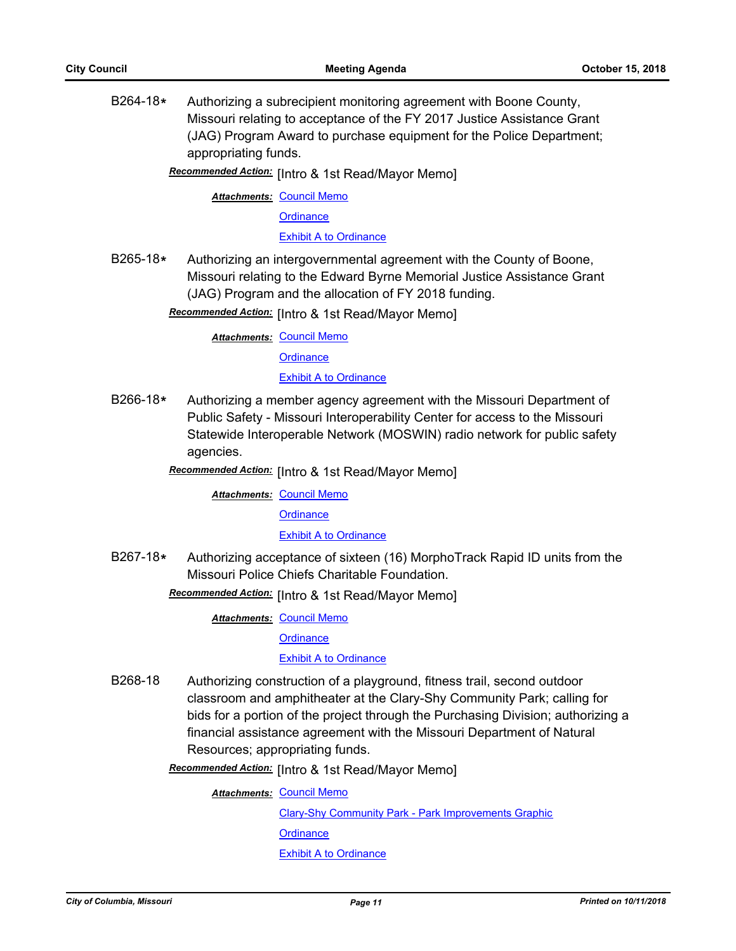B264-18**\*** Authorizing a subrecipient monitoring agreement with Boone County, Missouri relating to acceptance of the FY 2017 Justice Assistance Grant (JAG) Program Award to purchase equipment for the Police Department; appropriating funds.

Recommended Action: [Intro & 1st Read/Mayor Memo]

**Attachments: [Council Memo](http://gocolumbiamo.legistar.com/gateway.aspx?M=F&ID=6805c79f-0f15-4e1e-9c68-7bc30d98244e.docx)** 

**[Ordinance](http://gocolumbiamo.legistar.com/gateway.aspx?M=F&ID=dd6584ec-eb39-44bc-b8b3-7166cc7cf6e2.doc)** 

[Exhibit A to Ordinance](http://gocolumbiamo.legistar.com/gateway.aspx?M=F&ID=25e32e7c-d9e9-409c-8c56-ac1c5fffffbf.pdf)

B265-18**\*** Authorizing an intergovernmental agreement with the County of Boone, Missouri relating to the Edward Byrne Memorial Justice Assistance Grant (JAG) Program and the allocation of FY 2018 funding.

Recommended Action: [Intro & 1st Read/Mayor Memo]

**Attachments: [Council Memo](http://gocolumbiamo.legistar.com/gateway.aspx?M=F&ID=863aac40-ae8c-43e2-b176-daf66dede674.docx)** 

**[Ordinance](http://gocolumbiamo.legistar.com/gateway.aspx?M=F&ID=5ab03472-aba3-4777-8539-33a5337c42bb.doc)** 

[Exhibit A to Ordinance](http://gocolumbiamo.legistar.com/gateway.aspx?M=F&ID=f8ea4682-67bd-4ee4-bc56-1e7447f84cfb.pdf)

B266-18**\*** Authorizing a member agency agreement with the Missouri Department of Public Safety - Missouri Interoperability Center for access to the Missouri Statewide Interoperable Network (MOSWIN) radio network for public safety agencies.

Recommended Action: [Intro & 1st Read/Mayor Memo]

**Attachments: [Council Memo](http://gocolumbiamo.legistar.com/gateway.aspx?M=F&ID=cb207f0f-16f1-4de5-8d23-72540a623e19.docx)** 

**[Ordinance](http://gocolumbiamo.legistar.com/gateway.aspx?M=F&ID=7f41f53f-cc7a-4778-8fcb-959310a4e586.doc)** 

[Exhibit A to Ordinance](http://gocolumbiamo.legistar.com/gateway.aspx?M=F&ID=6a2c2e0b-587f-423f-8bd0-c3da0cf8b0fd.pdf)

B267-18**\*** Authorizing acceptance of sixteen (16) MorphoTrack Rapid ID units from the Missouri Police Chiefs Charitable Foundation.

**Recommended Action:** [Intro & 1st Read/Mayor Memo]

**Attachments: [Council Memo](http://gocolumbiamo.legistar.com/gateway.aspx?M=F&ID=dc9ee4f5-3038-4165-96e0-e23e1afbed10.docx)** 

**[Ordinance](http://gocolumbiamo.legistar.com/gateway.aspx?M=F&ID=af2fe9e3-0a22-4091-a143-1d18d4717afc.doc)** 

#### [Exhibit A to Ordinance](http://gocolumbiamo.legistar.com/gateway.aspx?M=F&ID=8df6e203-9e67-4e9e-9f8f-1a090c51f06c.pdf)

B268-18 Authorizing construction of a playground, fitness trail, second outdoor classroom and amphitheater at the Clary-Shy Community Park; calling for bids for a portion of the project through the Purchasing Division; authorizing a financial assistance agreement with the Missouri Department of Natural Resources; appropriating funds.

Recommended Action: [Intro & 1st Read/Mayor Memo]

**Attachments: [Council Memo](http://gocolumbiamo.legistar.com/gateway.aspx?M=F&ID=c0ca2a23-22ba-4e8b-80e2-aba038104318.docx)** 

[Clary-Shy Community Park - Park Improvements Graphic](http://gocolumbiamo.legistar.com/gateway.aspx?M=F&ID=38509fe5-4466-4fa7-917d-03f62668c697.pdf) **[Ordinance](http://gocolumbiamo.legistar.com/gateway.aspx?M=F&ID=9b4b64c0-7c5a-4c52-ae28-fc2a8e052c93.doc)** [Exhibit A to Ordinance](http://gocolumbiamo.legistar.com/gateway.aspx?M=F&ID=e192eabb-67a7-40be-a5c1-14ba2cf51f62.pdf)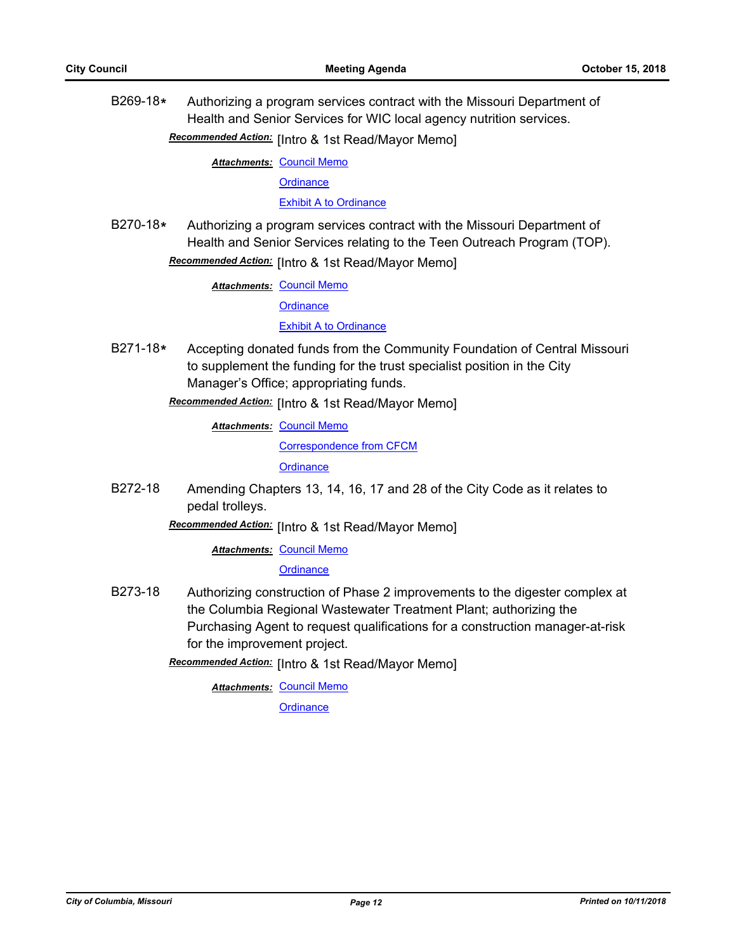B269-18**\*** Authorizing a program services contract with the Missouri Department of Health and Senior Services for WIC local agency nutrition services.

Recommended Action: [Intro & 1st Read/Mayor Memo]

**Attachments: [Council Memo](http://gocolumbiamo.legistar.com/gateway.aspx?M=F&ID=70b5f94d-468e-4491-8102-46e65ec92204.docx)** 

**[Ordinance](http://gocolumbiamo.legistar.com/gateway.aspx?M=F&ID=fce86813-9e34-4d00-a377-4489bcf8fbb5.doc)** 

[Exhibit A to Ordinance](http://gocolumbiamo.legistar.com/gateway.aspx?M=F&ID=9ddb6181-2773-449f-8926-166d10b6152f.pdf)

B270-18**\*** Authorizing a program services contract with the Missouri Department of Health and Senior Services relating to the Teen Outreach Program (TOP). Recommended Action: [Intro & 1st Read/Mayor Memo]

**Attachments: [Council Memo](http://gocolumbiamo.legistar.com/gateway.aspx?M=F&ID=bb7caa02-b717-417d-9cbf-cf2c78ca50d1.docx)** 

**[Ordinance](http://gocolumbiamo.legistar.com/gateway.aspx?M=F&ID=edb79e0a-20bb-4c02-8dd3-1aeb7dd25fd9.doc)** 

[Exhibit A to Ordinance](http://gocolumbiamo.legistar.com/gateway.aspx?M=F&ID=6ed5d0e3-bed9-4f68-b7bc-a61e4208b184.pdf)

B271-18**\*** Accepting donated funds from the Community Foundation of Central Missouri to supplement the funding for the trust specialist position in the City Manager's Office; appropriating funds.

Recommended Action: [Intro & 1st Read/Mayor Memo]

**Attachments: [Council Memo](http://gocolumbiamo.legistar.com/gateway.aspx?M=F&ID=4d9058dd-ed98-4fda-a330-c486260ac751.docx)** 

[Correspondence from CFCM](http://gocolumbiamo.legistar.com/gateway.aspx?M=F&ID=22dec00e-a1cd-481e-a66d-53b357ec5302.pdf)

**[Ordinance](http://gocolumbiamo.legistar.com/gateway.aspx?M=F&ID=2e000761-42ea-4068-b333-c9b6d28b1965.doc)** 

B272-18 Amending Chapters 13, 14, 16, 17 and 28 of the City Code as it relates to pedal trolleys.

**Recommended Action:** [Intro & 1st Read/Mayor Memo]

**Attachments: [Council Memo](http://gocolumbiamo.legistar.com/gateway.aspx?M=F&ID=d6f21369-5e84-4de6-a372-f67911acce97.docx)** 

**[Ordinance](http://gocolumbiamo.legistar.com/gateway.aspx?M=F&ID=1ec24cff-1e31-46a3-a893-b9329e5855d3.doc)** 

- B273-18 Authorizing construction of Phase 2 improvements to the digester complex at the Columbia Regional Wastewater Treatment Plant; authorizing the Purchasing Agent to request qualifications for a construction manager-at-risk for the improvement project.
	- Recommended Action: [Intro & 1st Read/Mayor Memo]

**Attachments: [Council Memo](http://gocolumbiamo.legistar.com/gateway.aspx?M=F&ID=8d4844d3-e4d8-4c2e-bfbe-aa1fa8b2af71.docx)**